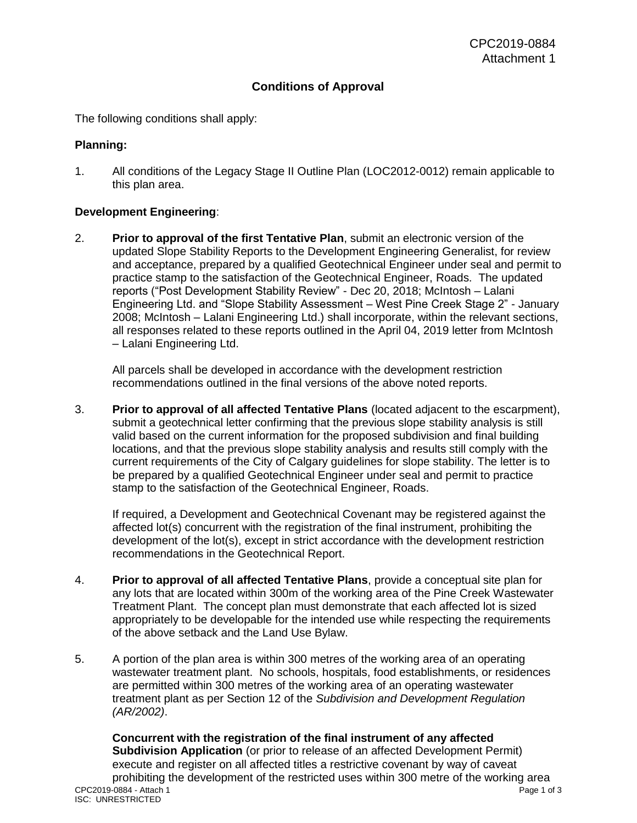## **Conditions of Approval**

The following conditions shall apply:

#### **Planning:**

1. All conditions of the Legacy Stage II Outline Plan (LOC2012-0012) remain applicable to this plan area.

### **Development Engineering**:

2. **Prior to approval of the first Tentative Plan**, submit an electronic version of the updated Slope Stability Reports to the Development Engineering Generalist, for review and acceptance, prepared by a qualified Geotechnical Engineer under seal and permit to practice stamp to the satisfaction of the Geotechnical Engineer, Roads. The updated reports ("Post Development Stability Review" - Dec 20, 2018; McIntosh – Lalani Engineering Ltd. and "Slope Stability Assessment – West Pine Creek Stage 2" - January 2008; McIntosh – Lalani Engineering Ltd.) shall incorporate, within the relevant sections, all responses related to these reports outlined in the April 04, 2019 letter from McIntosh – Lalani Engineering Ltd.

All parcels shall be developed in accordance with the development restriction recommendations outlined in the final versions of the above noted reports.

3. **Prior to approval of all affected Tentative Plans** (located adjacent to the escarpment), submit a geotechnical letter confirming that the previous slope stability analysis is still valid based on the current information for the proposed subdivision and final building locations, and that the previous slope stability analysis and results still comply with the current requirements of the City of Calgary guidelines for slope stability. The letter is to be prepared by a qualified Geotechnical Engineer under seal and permit to practice stamp to the satisfaction of the Geotechnical Engineer, Roads.

If required, a Development and Geotechnical Covenant may be registered against the affected lot(s) concurrent with the registration of the final instrument, prohibiting the development of the lot(s), except in strict accordance with the development restriction recommendations in the Geotechnical Report.

- 4. **Prior to approval of all affected Tentative Plans**, provide a conceptual site plan for any lots that are located within 300m of the working area of the Pine Creek Wastewater Treatment Plant. The concept plan must demonstrate that each affected lot is sized appropriately to be developable for the intended use while respecting the requirements of the above setback and the Land Use Bylaw.
- 5. A portion of the plan area is within 300 metres of the working area of an operating wastewater treatment plant. No schools, hospitals, food establishments, or residences are permitted within 300 metres of the working area of an operating wastewater treatment plant as per Section 12 of the *Subdivision and Development Regulation (AR/2002)*.

CPC2019-0884 - Attach 1 Page 1 of 3 ISC: UNRESTRICTED **Concurrent with the registration of the final instrument of any affected Subdivision Application** (or prior to release of an affected Development Permit) execute and register on all affected titles a restrictive covenant by way of caveat prohibiting the development of the restricted uses within 300 metre of the working area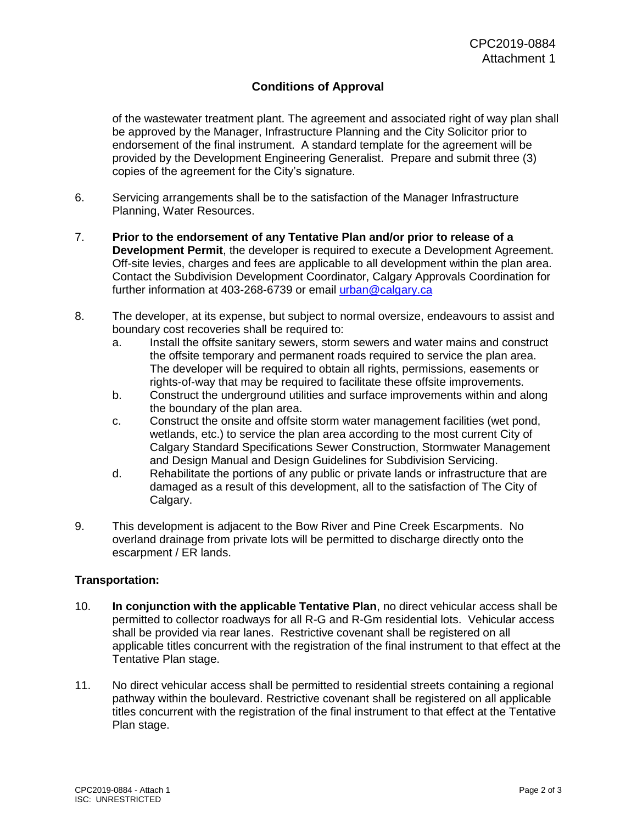# **Conditions of Approval**

of the wastewater treatment plant. The agreement and associated right of way plan shall be approved by the Manager, Infrastructure Planning and the City Solicitor prior to endorsement of the final instrument. A standard template for the agreement will be provided by the Development Engineering Generalist. Prepare and submit three (3) copies of the agreement for the City's signature.

- 6. Servicing arrangements shall be to the satisfaction of the Manager Infrastructure Planning, Water Resources.
- 7. **Prior to the endorsement of any Tentative Plan and/or prior to release of a Development Permit**, the developer is required to execute a Development Agreement. Off-site levies, charges and fees are applicable to all development within the plan area. Contact the Subdivision Development Coordinator, Calgary Approvals Coordination for further information at 403-268-6739 or email [urban@calgary.ca](mailto:urban@calgary.ca)
- 8. The developer, at its expense, but subject to normal oversize, endeavours to assist and boundary cost recoveries shall be required to:
	- a. Install the offsite sanitary sewers, storm sewers and water mains and construct the offsite temporary and permanent roads required to service the plan area. The developer will be required to obtain all rights, permissions, easements or rights-of-way that may be required to facilitate these offsite improvements.
	- b. Construct the underground utilities and surface improvements within and along the boundary of the plan area.
	- c. Construct the onsite and offsite storm water management facilities (wet pond, wetlands, etc.) to service the plan area according to the most current City of Calgary Standard Specifications Sewer Construction, Stormwater Management and Design Manual and Design Guidelines for Subdivision Servicing.
	- d. Rehabilitate the portions of any public or private lands or infrastructure that are damaged as a result of this development, all to the satisfaction of The City of Calgary.
- 9. This development is adjacent to the Bow River and Pine Creek Escarpments. No overland drainage from private lots will be permitted to discharge directly onto the escarpment / ER lands.

### **Transportation:**

- 10. **In conjunction with the applicable Tentative Plan**, no direct vehicular access shall be permitted to collector roadways for all R-G and R-Gm residential lots. Vehicular access shall be provided via rear lanes. Restrictive covenant shall be registered on all applicable titles concurrent with the registration of the final instrument to that effect at the Tentative Plan stage.
- 11. No direct vehicular access shall be permitted to residential streets containing a regional pathway within the boulevard. Restrictive covenant shall be registered on all applicable titles concurrent with the registration of the final instrument to that effect at the Tentative Plan stage.